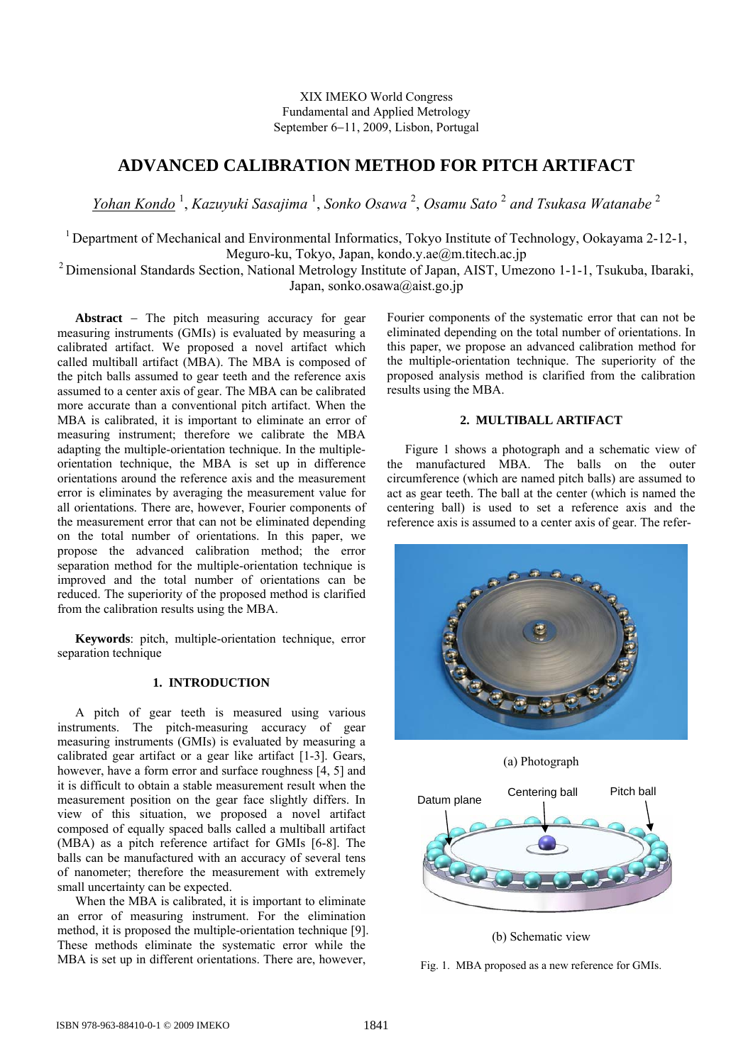XIX IMEKO World Congress Fundamental and Applied Metrology September 6−11, 2009, Lisbon, Portugal

# **ADVANCED CALIBRATION METHOD FOR PITCH ARTIFACT**

*Yohan Kondo* <sup>1</sup> , *Kazuyuki Sasajima* <sup>1</sup> , *Sonko Osawa* <sup>2</sup> , *Osamu Sato* <sup>2</sup> *and Tsukasa Watanabe* <sup>2</sup>

<sup>1</sup> Department of Mechanical and Environmental Informatics, Tokyo Institute of Technology, Ookayama 2-12-1, Meguro-ku, Tokyo, Japan, kondo.y.ae@m.titech.ac.jp

2 Dimensional Standards Section, National Metrology Institute of Japan, AIST, Umezono 1-1-1, Tsukuba, Ibaraki, Japan, sonko.osawa@aist.go.jp

**Abstract** − The pitch measuring accuracy for gear measuring instruments (GMIs) is evaluated by measuring a calibrated artifact. We proposed a novel artifact which called multiball artifact (MBA). The MBA is composed of the pitch balls assumed to gear teeth and the reference axis assumed to a center axis of gear. The MBA can be calibrated more accurate than a conventional pitch artifact. When the MBA is calibrated, it is important to eliminate an error of measuring instrument; therefore we calibrate the MBA adapting the multiple-orientation technique. In the multipleorientation technique, the MBA is set up in difference orientations around the reference axis and the measurement error is eliminates by averaging the measurement value for all orientations. There are, however, Fourier components of the measurement error that can not be eliminated depending on the total number of orientations. In this paper, we propose the advanced calibration method; the error separation method for the multiple-orientation technique is improved and the total number of orientations can be reduced. The superiority of the proposed method is clarified from the calibration results using the MBA.

**Keywords**: pitch, multiple-orientation technique, error separation technique

# **1. INTRODUCTION**

A pitch of gear teeth is measured using various instruments. The pitch-measuring accuracy of gear measuring instruments (GMIs) is evaluated by measuring a calibrated gear artifact or a gear like artifact [1-3]. Gears, however, have a form error and surface roughness [4, 5] and it is difficult to obtain a stable measurement result when the measurement position on the gear face slightly differs. In view of this situation, we proposed a novel artifact composed of equally spaced balls called a multiball artifact (MBA) as a pitch reference artifact for GMIs [6-8]. The balls can be manufactured with an accuracy of several tens of nanometer; therefore the measurement with extremely small uncertainty can be expected.

When the MBA is calibrated, it is important to eliminate an error of measuring instrument. For the elimination method, it is proposed the multiple-orientation technique [9]. These methods eliminate the systematic error while the MBA is set up in different orientations. There are, however,

Fourier components of the systematic error that can not be eliminated depending on the total number of orientations. In this paper, we propose an advanced calibration method for the multiple-orientation technique. The superiority of the proposed analysis method is clarified from the calibration results using the MBA.

# **2. MULTIBALL ARTIFACT**

Figure 1 shows a photograph and a schematic view of the manufactured MBA. The balls on the outer circumference (which are named pitch balls) are assumed to act as gear teeth. The ball at the center (which is named the centering ball) is used to set a reference axis and the reference axis is assumed to a center axis of gear. The refer-



(a) Photograph



(b) Schematic view

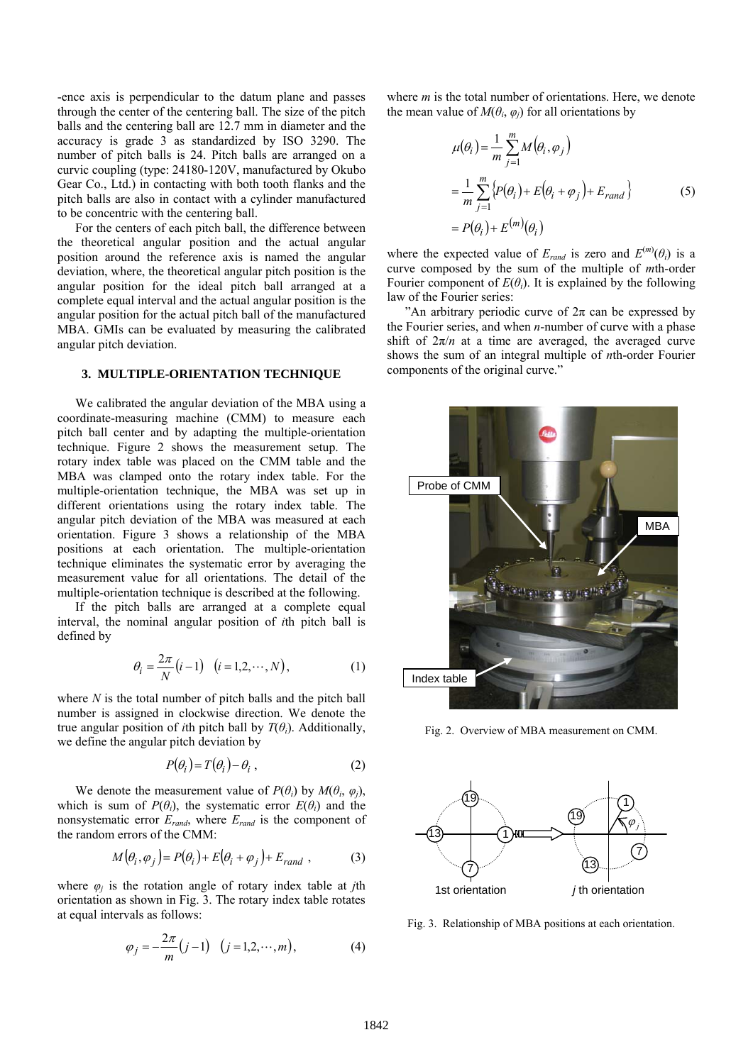-ence axis is perpendicular to the datum plane and passes through the center of the centering ball. The size of the pitch balls and the centering ball are 12.7 mm in diameter and the accuracy is grade 3 as standardized by ISO 3290. The number of pitch balls is 24. Pitch balls are arranged on a curvic coupling (type: 24180-120V, manufactured by Okubo Gear Co., Ltd.) in contacting with both tooth flanks and the pitch balls are also in contact with a cylinder manufactured to be concentric with the centering ball.

For the centers of each pitch ball, the difference between the theoretical angular position and the actual angular position around the reference axis is named the angular deviation, where, the theoretical angular pitch position is the angular position for the ideal pitch ball arranged at a complete equal interval and the actual angular position is the angular position for the actual pitch ball of the manufactured MBA. GMIs can be evaluated by measuring the calibrated angular pitch deviation.

## **3. MULTIPLE-ORIENTATION TECHNIQUE**

We calibrated the angular deviation of the MBA using a coordinate-measuring machine (CMM) to measure each pitch ball center and by adapting the multiple-orientation technique. Figure 2 shows the measurement setup. The rotary index table was placed on the CMM table and the MBA was clamped onto the rotary index table. For the multiple-orientation technique, the MBA was set up in different orientations using the rotary index table. The angular pitch deviation of the MBA was measured at each orientation. Figure 3 shows a relationship of the MBA positions at each orientation. The multiple-orientation technique eliminates the systematic error by averaging the measurement value for all orientations. The detail of the multiple-orientation technique is described at the following.

If the pitch balls are arranged at a complete equal interval, the nominal angular position of *i*th pitch ball is defined by

$$
\theta_i = \frac{2\pi}{N} (i - 1) \quad (i = 1, 2, \cdots, N), \tag{1}
$$

where *N* is the total number of pitch balls and the pitch ball number is assigned in clockwise direction. We denote the true angular position of *i*th pitch ball by  $T(\theta_i)$ . Additionally, we define the angular pitch deviation by

$$
P(\theta_i) = T(\theta_i) - \theta_i \tag{2}
$$

We denote the measurement value of  $P(\theta_i)$  by  $M(\theta_i, \varphi_i)$ , which is sum of  $P(\theta_i)$ , the systematic error  $E(\theta_i)$  and the nonsystematic error *Erand*, where *Erand* is the component of the random errors of the CMM:

$$
M(\theta_i, \varphi_j) = P(\theta_i) + E(\theta_i + \varphi_j) + E_{rand} \t{,}
$$

where  $\varphi_j$  is the rotation angle of rotary index table at *j*th orientation as shown in Fig. 3. The rotary index table rotates at equal intervals as follows:

$$
\varphi_j = -\frac{2\pi}{m}(j-1) \quad (j = 1, 2, \cdots, m),
$$
\n(4)

where *m* is the total number of orientations. Here, we denote the mean value of  $M(\theta_i, \varphi_i)$  for all orientations by

$$
\mu(\theta_i) = \frac{1}{m} \sum_{j=1}^{m} M(\theta_i, \varphi_j)
$$
  
= 
$$
\frac{1}{m} \sum_{j=1}^{m} \{ P(\theta_i) + E(\theta_i + \varphi_j) + E_{rand} \}
$$
  
= 
$$
P(\theta_i) + E^{(m)}(\theta_i)
$$
 (5)

where the expected value of  $E_{rand}$  is zero and  $E^{(m)}(\theta_i)$  is a curve composed by the sum of the multiple of *m*th-order Fourier component of  $E(\theta_i)$ . It is explained by the following law of the Fourier series:

"An arbitrary periodic curve of  $2\pi$  can be expressed by the Fourier series, and when *n*-number of curve with a phase shift of  $2\pi/n$  at a time are averaged, the averaged curve shows the sum of an integral multiple of *n*th-order Fourier components of the original curve."



Fig. 2. Overview of MBA measurement on CMM.



Fig. 3. Relationship of MBA positions at each orientation.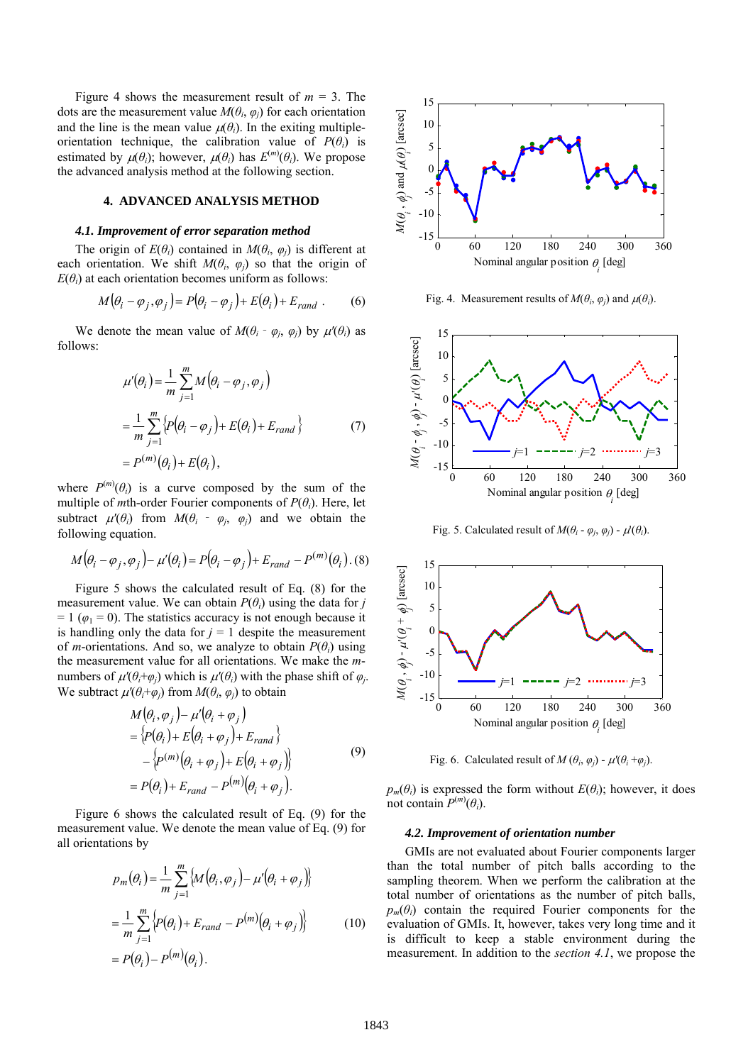Figure 4 shows the measurement result of  $m = 3$ . The dots are the measurement value  $M(\theta_i, \varphi_i)$  for each orientation and the line is the mean value  $\mu(\theta_i)$ . In the exiting multipleorientation technique, the calibration value of  $P(\theta_i)$  is estimated by  $\mu(\theta_i)$ ; however,  $\mu(\theta_i)$  has  $E^{(m)}(\theta_i)$ . We propose the advanced analysis method at the following section.

## **4. ADVANCED ANALYSIS METHOD**

### *4.1. Improvement of error separation method*

The origin of  $E(\theta_i)$  contained in  $M(\theta_i, \varphi_i)$  is different at each orientation. We shift  $M(\theta_i, \varphi_j)$  so that the origin of  $E(\theta_i)$  at each orientation becomes uniform as follows:

$$
M(\theta_i - \varphi_j, \varphi_j) = P(\theta_i - \varphi_j) + E(\theta_i) + E_{rand} . \tag{6}
$$

We denote the mean value of  $M(\theta_i - \varphi_i, \varphi_i)$  by  $\mu'(\theta_i)$  as follows:

$$
\mu'(\theta_i) = \frac{1}{m} \sum_{j=1}^{m} M(\theta_i - \varphi_j, \varphi_j)
$$
  
= 
$$
\frac{1}{m} \sum_{j=1}^{m} \{p(\theta_i - \varphi_j) + E(\theta_i) + E_{rand}\}
$$
  
= 
$$
P^{(m)}(\theta_i) + E(\theta_i),
$$
 (7)

where  $P^{(m)}(\theta_i)$  is a curve composed by the sum of the multiple of *m*th-order Fourier components of  $P(\theta_i)$ . Here, let subtract  $\mu'(\theta_i)$  from  $M(\theta_i - \varphi_i, \varphi_i)$  and we obtain the following equation.

$$
M(\theta_i - \varphi_j, \varphi_j) - \mu'(\theta_i) = P(\theta_i - \varphi_j) + E_{rand} - P^{(m)}(\theta_i)
$$
 (8)

Figure 5 shows the calculated result of Eq. (8) for the measurement value. We can obtain  $P(\theta_i)$  using the data for *j*  $= 1$  ( $\varphi_1 = 0$ ). The statistics accuracy is not enough because it is handling only the data for  $j = 1$  despite the measurement of *m*-orientations. And so, we analyze to obtain  $P(\theta_i)$  using the measurement value for all orientations. We make the *m*numbers of  $\mu'(\theta_i + \varphi_i)$  which is  $\mu'(\theta_i)$  with the phase shift of  $\varphi_i$ . We subtract  $\mu'(\theta_i + \varphi_i)$  from  $M(\theta_i, \varphi_i)$  to obtain

$$
M(\theta_i, \varphi_j) - \mu'(\theta_i + \varphi_j)
$$
  
=  $\{P(\theta_i) + E(\theta_i + \varphi_j) + E_{rand}\}$   
 $-\{P^{(m)}(\theta_i + \varphi_j) + E(\theta_i + \varphi_j)\}$   
=  $P(\theta_i) + E_{rand} - P^{(m)}(\theta_i + \varphi_j).$  (9)

Figure 6 shows the calculated result of Eq. (9) for the measurement value. We denote the mean value of Eq. (9) for all orientations by

$$
p_m(\theta_i) = \frac{1}{m} \sum_{j=1}^{m} \{ M(\theta_i, \varphi_j) - \mu'(\theta_i + \varphi_j) \}
$$
  
= 
$$
\frac{1}{m} \sum_{j=1}^{m} \{ P(\theta_i) + E_{rand} - P^{(m)}(\theta_i + \varphi_j) \}
$$
 (10)  
= 
$$
P(\theta_i) - P^{(m)}(\theta_i).
$$



Fig. 4. Measurement results of  $M(\theta_i, \varphi_i)$  and  $\mu(\theta_i)$ .



Fig. 5. Calculated result of  $M(\theta_i - \varphi_j, \varphi_j) - \mu'(\theta_i)$ .



Fig. 6. Calculated result of  $M(\theta_i, \varphi_j)$  -  $\mu'(\theta_i + \varphi_j)$ .

 $p_m(\theta_i)$  is expressed the form without  $E(\theta_i)$ ; however, it does not contain  $P^{(m)}(\theta_i)$ .

#### *4.2. Improvement of orientation number*

GMIs are not evaluated about Fourier components larger than the total number of pitch balls according to the sampling theorem. When we perform the calibration at the total number of orientations as the number of pitch balls,  $p_m(\theta_i)$  contain the required Fourier components for the evaluation of GMIs. It, however, takes very long time and it is difficult to keep a stable environment during the measurement. In addition to the *section 4.1*, we propose the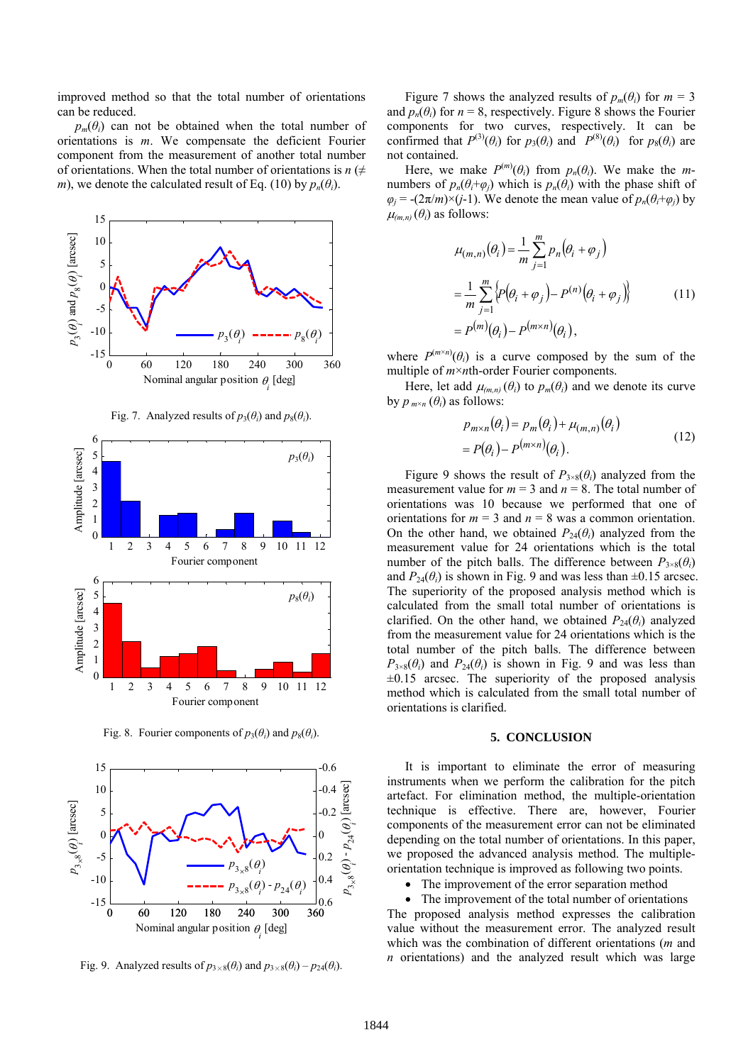improved method so that the total number of orientations can be reduced.

 $p_m(\theta)$  can not be obtained when the total number of orientations is *m*. We compensate the deficient Fourier component from the measurement of another total number of orientations. When the total number of orientations is  $n \neq$ *m*), we denote the calculated result of Eq. (10) by  $p_n(\theta_i)$ .



Fig. 7. Analyzed results of  $p_3(\theta_i)$  and  $p_8(\theta_i)$ .



Fig. 8. Fourier components of  $p_3(\theta_i)$  and  $p_8(\theta_i)$ .



Fig. 9. Analyzed results of  $p_{3\times 8}(\theta_i)$  and  $p_{3\times 8}(\theta_i) - p_{24}(\theta_i)$ .

Figure 7 shows the analyzed results of  $p_m(\theta_i)$  for  $m = 3$ and  $p_n(\theta_i)$  for  $n = 8$ , respectively. Figure 8 shows the Fourier components for two curves, respectively. It can be confirmed that  $P^{(3)}(\theta_i)$  for  $p_3(\theta_i)$  and  $P^{(8)}(\theta_i)$  for  $p_8(\theta_i)$  are not contained.

Here, we make  $P^{(m)}(\theta_i)$  from  $p_n(\theta_i)$ . We make the *m*numbers of  $p_n(\theta_i+\varphi_i)$  which is  $p_n(\theta_i)$  with the phase shift of  $\varphi_j$  = -(2π/*m*)×(*j*-1). We denote the mean value of  $p_n(\theta_i + \varphi_j)$  by  $\mu_{(m,n)}(\theta_i)$  as follows:

$$
\mu_{(m,n)}(\theta_i) = \frac{1}{m} \sum_{j=1}^m p_n(\theta_i + \varphi_j)
$$
  
= 
$$
\frac{1}{m} \sum_{j=1}^m \left\{ P(\theta_i + \varphi_j) - P^{(n)}(\theta_i + \varphi_j) \right\}
$$
 (11)  
= 
$$
P^{(m)}(\theta_i) - P^{(m \times n)}(\theta_i),
$$

where  $P^{(m \times n)}(\theta_i)$  is a curve composed by the sum of the multiple of *m*×*n*th-order Fourier components.

Here, let add  $\mu_{(m,n)}(\theta_i)$  to  $p_m(\theta_i)$  and we denote its curve by  $p_{m\times n}(\theta_i)$  as follows:

$$
p_{m \times n}(\theta_i) = p_m(\theta_i) + \mu_{(m,n)}(\theta_i)
$$
  
=  $P(\theta_i) - P^{(m \times n)}(\theta_i)$ . (12)

Figure 9 shows the result of  $P_{3\times8}(\theta_i)$  analyzed from the measurement value for  $m = 3$  and  $n = 8$ . The total number of orientations was 10 because we performed that one of orientations for  $m = 3$  and  $n = 8$  was a common orientation. On the other hand, we obtained  $P_{24}(\theta_i)$  analyzed from the measurement value for 24 orientations which is the total number of the pitch balls. The difference between  $P_{3\times8}(\theta_i)$ and  $P_{24}(\theta_i)$  is shown in Fig. 9 and was less than  $\pm 0.15$  arcsec. The superiority of the proposed analysis method which is calculated from the small total number of orientations is clarified. On the other hand, we obtained  $P_{24}(\theta_i)$  analyzed from the measurement value for 24 orientations which is the total number of the pitch balls. The difference between  $P_{3\times8}(\theta_i)$  and  $P_{24}(\theta_i)$  is shown in Fig. 9 and was less than  $\pm 0.15$  arcsec. The superiority of the proposed analysis method which is calculated from the small total number of orientations is clarified.

#### **5. CONCLUSION**

It is important to eliminate the error of measuring instruments when we perform the calibration for the pitch artefact. For elimination method, the multiple-orientation technique is effective. There are, however, Fourier components of the measurement error can not be eliminated depending on the total number of orientations. In this paper, we proposed the advanced analysis method. The multipleorientation technique is improved as following two points.

• The improvement of the error separation method

• The improvement of the total number of orientations The proposed analysis method expresses the calibration value without the measurement error. The analyzed result which was the combination of different orientations (*m* and *n* orientations) and the analyzed result which was large